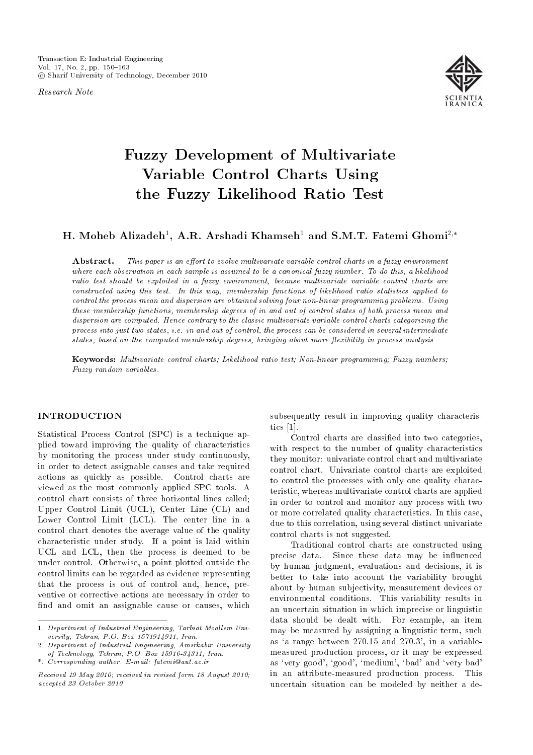Research Note



# Fuzzy Development of Multivariate Variable Control Charts Using the Fuzzy Likelihood Ratio Test

# H. Moheb Alizadeh $^1,$  A.R. Arshadi Khamseh $^1$  and S.M.T. Fatemi Ghomi $^{2,\ast}$

**Abstract.** This paper is an effort to evolve multivariate variable control charts in a fuzzy environment where each observation in each sample is assumed to be a canonical fuzzy number. To do this, a likelihood ratio test should be exploited in a fuzzy environment, because multivariate variable control charts are constructed using this test. In this way, membership functions of likelihood ratio statistics applied to control the process mean and dispersion are obtained solving four non-linear programming problems. Using these membership functions, membership degrees of in and out of control states of both process mean and dispersion are computed. Hence contrary to the classic multivariate variable control charts categorizing the process into just two states, i.e. in and out of control, the process can be considered in several intermediate states, based on the computed membership degrees, bringing about more flexibility in process analysis.

Keywords: Multivariate control charts; Likelihood ratio test; Non-linear programming; Fuzzy numbers; Fuzzy random variables.

# **INTRODUCTION**

Statistical Process Control (SPC) is a technique applied toward improving the quality of characteristics by monitoring the process under study continuously, in order to detect assignable causes and take required actions as quickly as possible. Control charts are viewed as the most commonly applied SPC tools. A control chart consists of three horizontal lines called; Upper Control Limit (UCL), Center Line (CL) and Lower Control Limit (LCL). The center line in a control chart denotes the average value of the quality characteristic under study. If a point is laid within UCL and LCL, then the process is deemed to be under control. Otherwise, a point plotted outside the control limits can be regarded as evidence representing that the process is out of control and, hence, preventive or corrective actions are necessary in order to find and omit an assignable cause or causes, which

subsequently result in improving quality characteristics [1].

Control charts are classied into two categories, with respect to the number of quality characteristics they monitor: univariate control chart and multivariate control chart. Univariate control charts are exploited to control the processes with only one quality characteristic, whereas multivariate control charts are applied in order to control and monitor any process with two or more correlated quality characteristics. In this case, due to this correlation, using several distinct univariate control charts is not suggested.

Traditional control charts are constructed using precise data. Since these data may be influenced by human judgment, evaluations and decisions, it is better to take into account the variability brought about by human subjectivity, measurement devices or environmental conditions. This variability results in an uncertain situation in which imprecise or linguistic data should be dealt with. For example, an item may be measured by assigning a linguistic term, such as 'a range between  $270.15$  and  $270.3$ ', in a variablemeasured production process, or it may be expressed as `very good', `good', `medium', `bad' and `very bad' in an attribute-measured production process. This uncertain situation can be modeled by neither a de-

<sup>1.</sup> Department of Industrial Engineering, Tarbiat Moallem University, Tehran, P.O. Box 1571914911, Iran.

<sup>2.</sup> Department of Industrial Engineering, Amirkabir University of Technology, Tehran, P.O. Box 15916-34311, Iran.

<sup>\*.</sup> Corresponding author. E-mail: fatemi@aut.ac.ir

Received 19 May 2010; received in revised form 18 August 2010; accepted 23 October 2010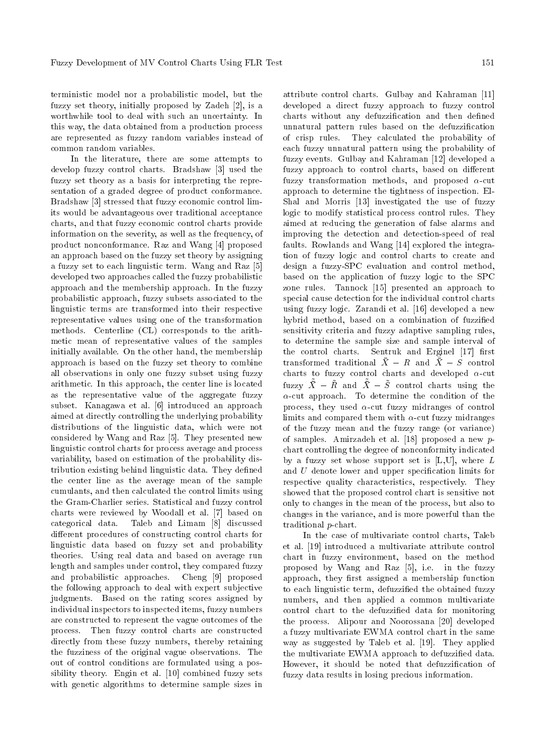terministic model nor a probabilistic model, but the fuzzy set theory, initially proposed by Zadeh [2], is a worthwhile tool to deal with such an uncertainty. In this way, the data obtained from a production process are represented as fuzzy random variables instead of common random variables.

In the literature, there are some attempts to develop fuzzy control charts. Bradshaw [3] used the fuzzy set theory as a basis for interpreting the representation of a graded degree of product conformance. Bradshaw [3] stressed that fuzzy economic control limits would be advantageous over traditional acceptance charts, and that fuzzy economic control charts provide information on the severity, as well as the frequency, of product nonconformance. Raz and Wang [4] proposed an approach based on the fuzzy set theory by assigning a fuzzy set to each linguistic term. Wang and Raz [5] developed two approaches called the fuzzy probabilistic approach and the membership approach. In the fuzzy probabilistic approach, fuzzy subsets associated to the linguistic terms are transformed into their respective representative values using one of the transformation methods. Centerline (CL) corresponds to the arithmetic mean of representative values of the samples initially available. On the other hand, the membership approach is based on the fuzzy set theory to combine all observations in only one fuzzy subset using fuzzy arithmetic. In this approach, the center line is located as the representative value of the aggregate fuzzy subset. Kanagawa et al. [6] introduced an approach aimed at directly controlling the underlying probability distributions of the linguistic data, which were not considered by Wang and Raz [5]. They presented new linguistic control charts for process average and process variability, based on estimation of the probability distribution existing behind linguistic data. They defined the center line as the average mean of the sample cumulants, and then calculated the control limits using the Gram-Charlier series. Statistical and fuzzy control charts were reviewed by Woodall et al. [7] based on categorical data. Taleb and Limam [8] discussed different procedures of constructing control charts for linguistic data based on fuzzy set and probability theories. Using real data and based on average run length and samples under control, they compared fuzzy and probabilistic approaches. Cheng [9] proposed the following approach to deal with expert subjective judgments. Based on the rating scores assigned by individual inspectors to inspected items, fuzzy numbers are constructed to represent the vague outcomes of the process. Then fuzzy control charts are constructed directly from these fuzzy numbers, thereby retaining the fuzziness of the original vague observations. The out of control conditions are formulated using a possibility theory. Engin et al. [10] combined fuzzy sets with genetic algorithms to determine sample sizes in attribute control charts. Gulbay and Kahraman [11] developed a direct fuzzy approach to fuzzy control charts without any defuzzification and then defined unnatural pattern rules based on the defuzzification of crisp rules. They calculated the probability of each fuzzy unnatural pattern using the probability of fuzzy events. Gulbay and Kahraman [12] developed a fuzzy approach to control charts, based on different fuzzy transformation methods, and proposed  $\alpha$ -cut approach to determine the tightness of inspection. El-Shal and Morris [13] investigated the use of fuzzy logic to modify statistical process control rules. They aimed at reducing the generation of false alarms and improving the detection and detection-speed of real faults. Rowlands and Wang [14] explored the integration of fuzzy logic and control charts to create and design a fuzzy-SPC evaluation and control method, based on the application of fuzzy logic to the SPC zone rules. Tannock [15] presented an approach to special cause detection for the individual control charts using fuzzy logic. Zarandi et al. [16] developed a new hybrid method, based on a combination of fuzzied sensitivity criteria and fuzzy adaptive sampling rules, to determine the sample size and sample interval of the control charts. Sentruk and Erginel [17] first transformed traditional  $\bar{X} - R$  and  $\bar{X} - S$  control charts to fuzzy control charts and developed  $\alpha$ -cut fuzzy  $\overline{X} - \overline{R}$  and  $\overline{X} - \overline{S}$  control charts using the  $\alpha$ -cut approach. To determine the condition of the process, they used  $\alpha$ -cut fuzzy midranges of control limits and compared them with  $\alpha$ -cut fuzzy midranges of the fuzzy mean and the fuzzy range (or variance) of samples. Amirzadeh et al. [18] proposed a new pchart controlling the degree of nonconformity indicated by a fuzzy set whose support set is  $[L,U]$ , where  $L$ and U denote lower and upper specication limits for respective quality characteristics, respectively. They showed that the proposed control chart is sensitive not only to changes in the mean of the process, but also to changes in the variance, and is more powerful than the traditional p-chart.

In the case of multivariate control charts, Taleb et al. [19] introduced a multivariate attribute control chart in fuzzy environment, based on the method proposed by Wang and Raz [5], i.e. in the fuzzy approach, they first assigned a membership function to each linguistic term, defuzzied the obtained fuzzy numbers, and then applied a common multivariate control chart to the defuzzied data for monitoring the process. Alipour and Noorossana [20] developed a fuzzy multivariate EWMA control chart in the same way as suggested by Taleb et al. [19]. They applied the multivariate EWMA approach to defuzzied data. However, it should be noted that defuzzification of fuzzy data results in losing precious information.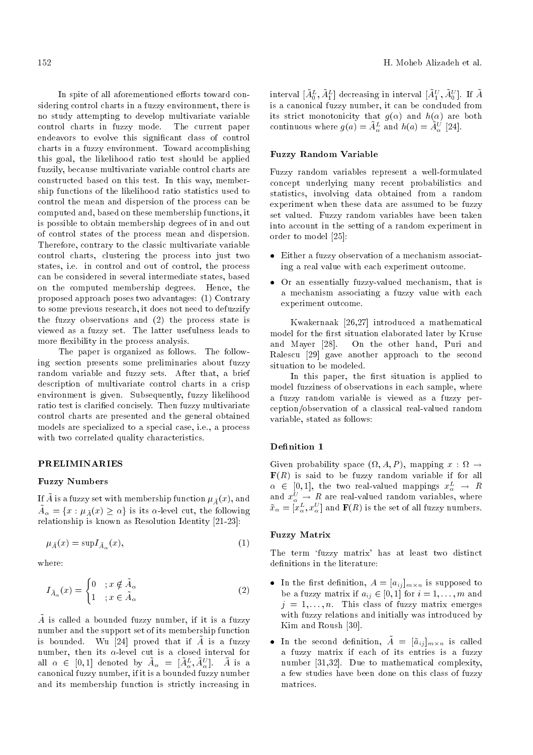In spite of all aforementioned efforts toward considering control charts in a fuzzy environment, there is no study attempting to develop multivariate variable control charts in fuzzy mode. The current paper endeavors to evolve this signicant class of control charts in a fuzzy environment. Toward accomplishing this goal, the likelihood ratio test should be applied fuzzily, because multivariate variable control charts are constructed based on this test. In this way, membership functions of the likelihood ratio statistics used to control the mean and dispersion of the process can be computed and, based on these membership functions, it is possible to obtain membership degrees of in and out of control states of the process mean and dispersion. Therefore, contrary to the classic multivariate variable control charts, clustering the process into just two states, i.e. in control and out of control, the process can be considered in several intermediate states, based on the computed membership degrees. Hence, the proposed approach poses two advantages: (1) Contrary to some previous research, it does not need to defuzzify the fuzzy observations and (2) the process state is viewed as a fuzzy set. The latter usefulness leads to more flexibility in the process analysis.

The paper is organized as follows. The following section presents some preliminaries about fuzzy random variable and fuzzy sets. After that, a brief description of multivariate control charts in a crisp environment is given. Subsequently, fuzzy likelihood ratio test is claried concisely. Then fuzzy multivariate control charts are presented and the general obtained models are specialized to a special case, i.e., a process with two correlated quality characteristics.

#### PRELIMINARIES

#### Fuzzy Numbers

If  $\tilde{A}$  is a fuzzy set with membership function  $\mu_{\tilde{A}}(x)$ , and  $\tilde{A}_{\alpha} = \{x : \mu_{\tilde{A}}(x) \ge \alpha\}$  is its  $\alpha$ -level cut, the following relationship is known as Resolution Identity [21-23]:

$$
\mu_{\tilde{A}}(x) = \sup I_{\tilde{A}_{\alpha}}(x),\tag{1}
$$

where:

$$
I_{\tilde{A}_{\alpha}}(x) = \begin{cases} 0 & ; x \notin \tilde{A}_{\alpha} \\ 1 & ; x \in \tilde{A}_{\alpha} \end{cases}
$$
 (2)

 $\tilde{A}$  is called a bounded fuzzy number, if it is a fuzzy number and the support set of its membership function is bounded. Wu [24] proved that if  $\tilde{A}$  is a fuzzy number, then its  $\alpha$ -level cut is a closed interval for all  $\alpha \in [0,1]$  denoted by  $\tilde{A}_{\alpha} = [\tilde{A}_{\alpha}^{L}, \tilde{A}_{\alpha}^{U}]$ .  $\tilde{A}$  is a canonical fuzzy number, if it is a bounded fuzzy number and its membership function is strictly increasing in

interval  $[\tilde{A}^L_0, \tilde{A}^L_1]$  decreasing in interval  $[\tilde{A}^U_1, \tilde{A}^U_0]$ . If  $\tilde{A}$ is a canonical fuzzy number, it can be concluded from its strict monotonicity that  $g(\alpha)$  and  $h(\alpha)$  are both continuous where  $g(a) = \tilde{A}_{\alpha}^{L}$  and  $h(a) = \tilde{A}_{\alpha}^{U}$  [24].

# Fuzzy Random Variable

Fuzzy random variables represent a well-formulated concept underlying many recent probabilistics and statistics, involving data obtained from a random experiment when these data are assumed to be fuzzy set valued. Fuzzy random variables have been taken into account in the setting of a random experiment in order to model [25]:

- Either a fuzzy observation of a mechanism associating a real value with each experiment outcome.
- Or an essentially fuzzy-valued mechanism, that is a mechanism associating a fuzzy value with each experiment outcome.

Kwakernaak [26,27] introduced a mathematical model for the first situation elaborated later by Kruse and Mayer [28]. On the other hand, Puri and Ralescu [29] gave another approach to the second situation to be modeled.

In this paper, the first situation is applied to model fuzziness of observations in each sample, where a fuzzy random variable is viewed as a fuzzy perception/observation of a classical real-valued random variable, stated as follows:

#### Definition 1

Given probability space  $(\Omega, A, P)$ , mapping  $x : \Omega \rightarrow$  $\mathbf{F}(R)$  is said to be fuzzy random variable if for all  $\alpha \in [0,1],$  the two real-valued mappings  $x_\alpha^L \rightarrow R$ and  $x_{\alpha}^{U} \rightarrow R$  are real-valued random variables, where  $\tilde{x}_{\alpha} = [x_{\alpha}^{L}, x_{\alpha}^{U}]$  and  $\mathbf{F}(R)$  is the set of all fuzzy numbers.

#### Fuzzy Matrix

The term `fuzzy matrix' has at least two distinct definitions in the literature:

- In the first definition,  $A = [a_{ij}]_{m \times n}$  is supposed to be a fuzzy matrix if  $a_{ij} \in [0, 1]$  for  $i = 1, \ldots, m$  and  $j = 1, \ldots, n$ . This class of fuzzy matrix emerges with fuzzy relations and initially was introduced by Kim and Roush [30].
- In the second definition,  $\tilde{A} = [\tilde{a}_{ij}]_{m \times n}$  is called a fuzzy matrix if each of its entries is a fuzzy number [31,32]. Due to mathematical complexity, a few studies have been done on this class of fuzzy matrices.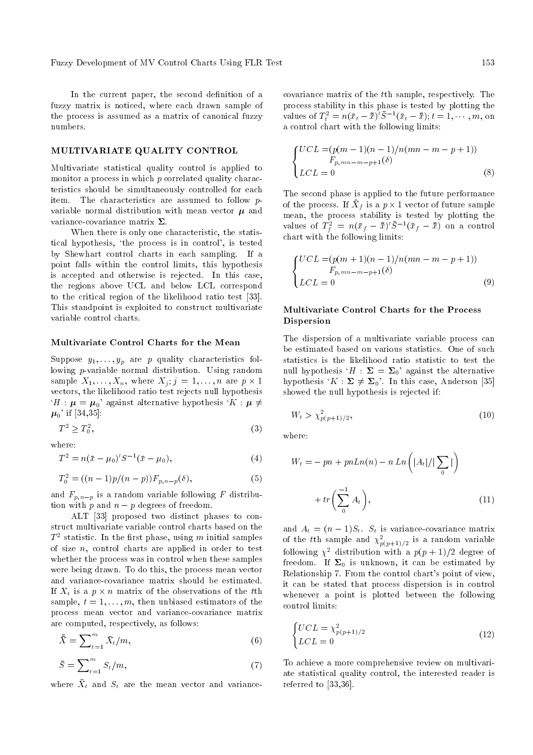In the current paper, the second definition of a fuzzy matrix is noticed, where each drawn sample of the process is assumed as a matrix of canonical fuzzy numbers.

# MULTIVARIATE QUALITY CONTROL

Multivariate statistical quality control is applied to monitor a process in which p correlated quality characteristics should be simultaneously controlled for each item. The characteristics are assumed to follow pvariable normal distribution with mean vector  $\mu$  and variance-covariance matrix  $\Sigma$ .

When there is only one characteristic, the statistical hypothesis, `the process is in control', is tested by Shewhart control charts in each sampling. If a point falls within the control limits, this hypothesis is accepted and otherwise is rejected. In this case, the regions above UCL and below LCL correspond to the critical region of the likelihood ratio test [33]. This standpoint is exploited to construct multivariate variable control charts.

#### Multivariate Control Charts for the Mean

Suppose  $y_1, \ldots, y_p$  are p quality characteristics following p-variable normal distribution. Using random sample  $X_1, \ldots, X_n$ , where  $X_j$ ;  $j = 1, \ldots, n$  are  $p \times 1$ vectors, the likelihood ratio test rejects null hypothesis  $H: \mu = \mu_{0}$ ' against alternative hypothesis ' $K: \mu \neq 0$  $\mu_{0}^{}$ ' if [34,35]:

$$
T^2 \ge T_0^2,\tag{3}
$$

where:

$$
T^2 = n(\bar{x} - \mu_0)' S^{-1} (\bar{x} - \mu_0), \tag{4}
$$

$$
T_0^2 = ((n-1)p/(n-p))F_{p,n-p}(\delta), \qquad (5)
$$

and  $F_{p,n-p}$  is a random variable following F distribution with p and  $n - p$  degrees of freedom.

ALT [33] proposed two distinct phases to construct multivariate variable control charts based on the  $T^2$  statistic. In the first phase, using m initial samples of size  $n$ , control charts are applied in order to test whether the process was in control when these samples were being drawn. To do this, the process mean vector and variance-covariance matrix should be estimated. If  $X_t$  is a  $p \times n$  matrix of the observations of the  $t$ th sample,  $t = 1, \ldots, m$ , then unbiased estimators of the process mean vector and variance-covariance matrix are computed, respectively, as follows:

$$
\bar{\bar{X}} = \sum_{t=1}^{m} \bar{X}_t / m, \tag{6}
$$

$$
\bar{S} = \sum_{t=1}^{m} S_t / m,\tag{7}
$$

where  $\bar{X}_t$  and  $S_t$  are the mean vector and variance-

covariance matrix of the tth sample, respectively. The process stability in this phase is tested by plotting the values of  $T_t^2 = n(\bar{x}_t - \bar{\bar{x}})' \bar{S}^{-1}(\bar{x}_t - \bar{\bar{x}}); t = 1, \dots, m$ , on a control chart with the following limits:

$$
\begin{cases}\nUCL = (p(m-1)(n-1)/n(mn-m-p+1)) \\
F_{p,mn-m-p+1}(\delta) \\
LCL = 0\n\end{cases}
$$
\n(8)

The second phase is applied to the future performance of the process. If  $\bar{X}_f$  is a  $p \times 1$  vector of future sample mean, the process stability is tested by plotting the values of  $T_f^2 = n(\bar{x}_f - \bar{\bar{x}})' \bar{S}^{-1}(\bar{x}_f - \bar{\bar{x}})$  on a control chart with the following limits:

$$
\begin{cases}\nUCL = (p(m+1)(n-1)/n(mn-m-p+1)) \\
F_{p,mn-m-p+1}(\delta) \\
LCL = 0\n\end{cases}
$$
\n(9)

# Multivariate Control Charts for the Process Dispersion

The dispersion of a multivariate variable process can be estimated based on various statistics. One of such statistics is the likelihood ratio statistic to test the null hypothesis ' $H : \Sigma = \Sigma_0$ ' against the alternative hypothesis ' $K : \Sigma \neq \Sigma_0$ '. In this case, Anderson [35] showed the null hypothesis is rejected if:

$$
W_t > \chi^2_{p(p+1)/2},\tag{10}
$$

where:

$$
W_t = -pn + pnLn(n) - nLn\left(|A_t|/|\sum_0|\right)
$$
  
+ 
$$
tr\left(\sum_0^{-1} A_t\right),
$$
 (11)

and  $A_t = (n-1)S_t$ .  $S_t$  is variance-covariance matrix of the tth sample and  $\chi_{p(p+1)/2}^2$  is a random variable following  $\chi^2$  distribution with a  $p(p+1)/2$  degree of freedom. If  $\Sigma_0$  is unknown, it can be estimated by Relationship 7. From the control chart's point of view, it can be stated that process dispersion is in control whenever a point is plotted between the following control limits:

$$
\begin{cases} UCL = \chi_{p(p+1)/2}^2 \\ LCL = 0 \end{cases} \tag{12}
$$

To achieve a more comprehensive review on multivariate statistical quality control, the interested reader is referred to [33,36].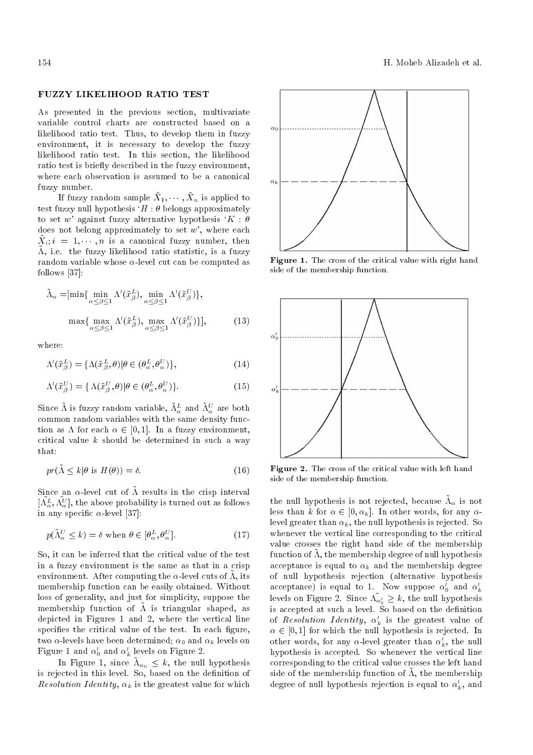#### FUZZY LIKELIHOOD RATIO TEST

As presented in the previous section, multivariate variable control charts are constructed based on a likelihood ratio test. Thus, to develop them in fuzzy environment, it is necessary to develop the fuzzy likelihood ratio test. In this section, the likelihood ratio test is briefly described in the fuzzy environment, where each observation is assumed to be a canonical fuzzy number.

If fuzzy random sample  $\tilde{X}_1, \cdots, \tilde{X}_n$  is applied to test fuzzy null hypothesis  $H : \theta$  belongs approximately to set w' against fuzzy alternative hypothesis  $K : \theta$ does not belong approximately to set  $w'$ , where each  $\tilde{X}_i$ ;  $i = 1, \dots, n$  is a canonical fuzzy number, then  $\tilde{\Lambda}$ , i.e. the fuzzy likelihood ratio statistic, is a fuzzy random variable whose  $\alpha$ -level cut can be computed as follows [37]:

$$
\tilde{\Lambda}_{\alpha} = [\min \{ \min_{\alpha \le \beta \le 1} \Lambda'(\tilde{x}_{\beta}^{L}), \min_{\alpha \le \beta \le 1} \Lambda'(\tilde{x}_{\beta}^{U}) \},
$$

$$
\max \{ \max_{\alpha \le \beta \le 1} \Lambda'(\tilde{x}_{\beta}^{L}), \max_{\alpha \le \beta \le 1} \Lambda'(\tilde{x}_{\beta}^{U}) \}],
$$
(13)

where:

$$
\Lambda'(\tilde{x}_{\beta}^{L}) = \{\Lambda(\tilde{x}_{\beta}^{L}, \theta) | \theta \in (\theta_{\alpha}^{L}, \theta_{\alpha}^{U})\},\tag{14}
$$

$$
\Lambda'(\tilde{x}_{\beta}^{U}) = \{ \Lambda(\tilde{x}_{\beta}^{U}, \theta) | \theta \in (\theta_{\alpha}^{L}, \theta_{\alpha}^{U}) \}.
$$
\n(15)

Since  $\tilde{\Lambda}$  is fuzzy random variable,  $\tilde{\Lambda}_{\alpha}^{L}$  and  $\tilde{\Lambda}_{\alpha}^{U}$  are both common random variables with the same density function as  $\Lambda$  for each  $\alpha \in [0, 1]$ . In a fuzzy environment, critical value  $k$  should be determined in such a way that:

$$
pr(\tilde{\Lambda} \le k|\theta \text{ is } H(\theta)) = \delta. \tag{16}
$$

Since an  $\alpha$ -level cut of  $\tilde{\Lambda}$  results in the crisp interval  $[\tilde{\Lambda^L_{\alpha}}, \tilde{\Lambda^U_{\alpha}}]$ , the above probability is turned out as follows in any specific  $\alpha$ -level [37]:

$$
p(\tilde{\Lambda}_{\alpha}^{U} \le k) = \delta \text{ when } \theta \in [\theta_{\alpha}^{L}, \theta_{\alpha}^{U}].
$$
 (17)

So, it can be inferred that the critical value of the test in a fuzzy environment is the same as that in a crisp environment. After computing the  $\alpha$ -level cuts of  $\tilde{\Lambda}$ , its membership function can be easily obtained. Without loss of generality, and just for simplicity, suppose the membership function of  $\tilde{\Lambda}$  is triangular shaped, as depicted in Figures 1 and 2, where the vertical line specifies the critical value of the test. In each figure, two  $\alpha$ -levels have been determined;  $\alpha_0$  and  $\alpha_k$  levels on Figure 1 and  $\alpha'_0$  and  $\alpha'_k$  levels on Figure 2.

In Figure 1, since  $\tilde{\Lambda}_{\alpha_0} \leq k$ , the null hypothesis is rejected in this level. So, based on the definition of Resolution Identity,  $\alpha_k$  is the greatest value for which



Figure 1. The cross of the critical value with right hand side of the membership function.



Figure 2. The cross of the critical value with left hand side of the membership function.

the null hypothesis is not rejected, because  $\tilde{\Lambda}_\alpha$  is not less than k for  $\alpha \in [0, \alpha_k]$ . In other words, for any  $\alpha$ level greater than  $\alpha_k$ , the null hypothesis is rejected. So whenever the vertical line corresponding to the critical value crosses the right hand side of the membership function of  $\tilde{\Lambda}$ , the membership degree of null hypothesis acceptance is equal to  $\alpha_k$  and the membership degree of null hypothesis rejection (alternative hypothesis acceptance) is equal to 1. Now suppose  $\alpha_0'$  and  $\alpha_k'$ levels on Figure 2. Since  $\tilde{\Lambda_{\alpha}}_{0} \geq k$ , the null hypothesis is accepted at such a level. So based on the definition of *Resolution Identity*,  $\alpha'_{k}$  is the greatest value of  $\alpha \in [0, 1]$  for which the null hypothesis is rejected. In other words, for any  $\alpha$ -level greater than  $\alpha'_k$ , the null hypothesis is accepted. So whenever the vertical line corresponding to the critical value crosses the left hand side of the membership function of  $\tilde{\Lambda}$ , the membership degree of null hypothesis rejection is equal to  $\alpha'_k$ , and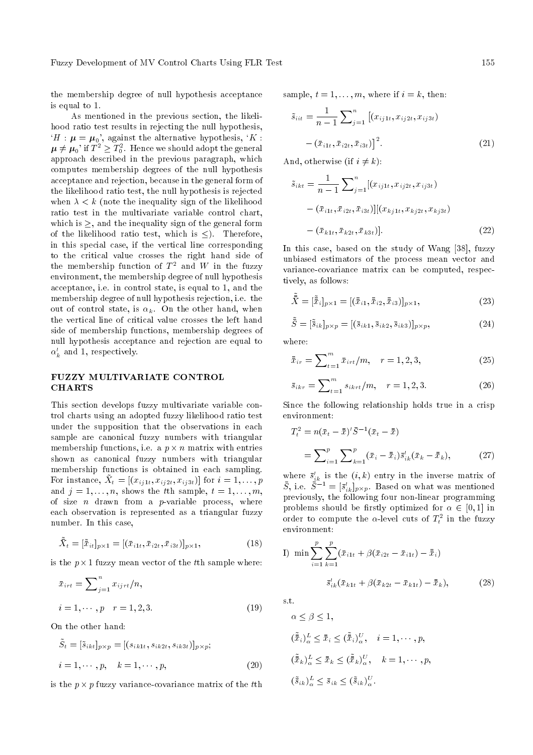the membership degree of null hypothesis acceptance is equal to 1.

As mentioned in the previous section, the likelihood ratio test results in rejecting the null hypothesis,  $H : \mu = \mu_0$ , against the alternative hypothesis,  $K :$  $\boldsymbol{\mu} \neq \boldsymbol{\mu}_0$ ' if  $T^2 \geq T_0^2$ . Hence we should adopt the general approach described in the previous paragraph, which computes membership degrees of the null hypothesis acceptance and rejection, because in the general form of the likelihood ratio test, the null hypothesis is rejected when  $\lambda < k$  (note the inequality sign of the likelihood ratio test in the multivariate variable control chart, which is  $\ge$ , and the inequality sign of the general form of the likelihood ratio test, which is  $\leq$ ). Therefore, in this special case, if the vertical line corresponding to the critical value crosses the right hand side of the membership function of  $T^2$  and  $W$  in the fuzzy environment, the membership degree of null hypothesis acceptance, i.e. in control state, is equal to 1, and the membership degree of null hypothesis rejection, i.e. the out of control state, is  $\alpha_k$ . On the other hand, when the vertical line of critical value crosses the left hand side of membership functions, membership degrees of null hypothesis acceptance and rejection are equal to  $\alpha'_k$  and 1, respectively.

### FUZZY MULTIVARIATE CONTROL **CHARTS**

This section develops fuzzy multivariate variable control charts using an adopted fuzzy likelihood ratio test under the supposition that the observations in each sample are canonical fuzzy numbers with triangular membership functions, i.e. a  $p \times n$  matrix with entries shown as canonical fuzzy numbers with triangular membership functions is obtained in each sampling. For instance,  $\tilde{X}_t = [(x_{ij1t}, x_{ij2t}, x_{ij3t})]$  for  $i = 1, \ldots, p$ and  $j = 1, \ldots, n$ , shows the tth sample,  $t = 1, \ldots, m$ , of size  $n$  drawn from a  $p$ -variable process, where each observation is represented as a triangular fuzzy number. In this case,

$$
\tilde{\bar{X}}_t = [\tilde{\bar{x}}_{it}]_{p \times 1} = [(\bar{x}_{i1t}, \bar{x}_{i2t}, \bar{x}_{i3t})]_{p \times 1},
$$
\n(18)

is the  $p \times 1$  fuzzy mean vector of the tth sample where:

$$
\bar{x}_{irt} = \sum_{j=1}^{n} x_{ijrt} / n,
$$
  
\n $i = 1, \dots, p \quad r = 1, 2, 3.$  (19)

On the other hand:

$$
\tilde{S}_t = [\tilde{s}_{ikt}]_{p \times p} = [ (s_{ik1t}, s_{ik2t}, s_{ik3t})]_{p \times p};
$$
  

$$
i = 1, \cdots, p, \quad k = 1, \cdots, p,
$$
 (20)

is the  $p \times p$  fuzzy variance-covariance matrix of the  $t$ th

sample,  $t = 1, \ldots, m$ , where if  $i = k$ , then:

$$
\tilde{s}_{iit} = \frac{1}{n-1} \sum_{j=1}^{n} \left[ (x_{ij1t}, x_{ij2t}, x_{ij3t}) - (\bar{x}_{i1t}, \bar{x}_{i2t}, \bar{x}_{i3t}) \right]^2.
$$
\n(21)

And, otherwise (if  $i \neq k$ ):

$$
\tilde{s}_{ikt} = \frac{1}{n-1} \sum_{j=1}^{n} [(x_{ij1t}, x_{ij2t}, x_{ij3t})
$$

$$
- (\bar{x}_{i1t}, \bar{x}_{i2t}, \bar{x}_{i3t})] [(x_{kj1t}, x_{kj2t}, x_{kj3t})
$$

$$
- (\bar{x}_{k1t}, \bar{x}_{k2t}, \bar{x}_{k3t})].
$$
\n(22)

In this case, based on the study of Wang [38], fuzzy unbiased estimators of the process mean vector and variance-covariance matrix can be computed, respectively, as follows:

$$
\tilde{\bar{\bar{X}}} = [\tilde{\bar{x}}_i]_{p \times 1} = [(\bar{\bar{x}}_{i1}, \bar{\bar{x}}_{i2}, \bar{\bar{x}}_{i3})]_{p \times 1},
$$
\n(23)

$$
\tilde{\bar{S}} = [\tilde{s}_{ik}]_{p \times p} = [(\bar{s}_{ik1}, \bar{s}_{ik2}, \bar{s}_{ik3})]_{p \times p},
$$
\n(24)

where:

$$
\bar{x}_{ir} = \sum_{t=1}^{m} \bar{x}_{irt}/m, \quad r = 1, 2, 3,
$$
\n(25)

$$
\bar{s}_{ikr} = \sum_{t=1}^{m} s_{ikrt}/m, \quad r = 1, 2, 3.
$$
 (26)

Since the following relationship holds true in a crisp environment:

$$
T_t^2 = n(\bar{x}_t - \bar{\bar{x}})' \bar{S}^{-1} (\bar{x}_t - \bar{\bar{x}})
$$
  
= 
$$
\sum_{i=1}^p \sum_{k=1}^p (\bar{x}_i - \bar{\bar{x}}_i) \bar{s}'_{ik} (\bar{x}_k - \bar{\bar{x}}_k),
$$
 (27)

where  $\bar{s}'_{ik}$  is the  $(i, k)$  entry in the inverse matrix of  $\bar{S}$ , i.e.  $\bar{S}^{-1} = [\bar{s}_{ik}]_{p \times p}$ . Based on what was mentioned previously, the following four non-linear programming problems should be firstly optimized for  $\alpha \in [0,1]$  in order to compute the  $\alpha$ -level cuts of  $T_t^2$  in the fuzzy environment:

I) min 
$$
\sum_{i=1}^{p} \sum_{k=1}^{p} (\bar{x}_{i1t} + \beta(\bar{x}_{i2t} - \bar{x}_{i1t}) - \bar{\bar{x}}_i)
$$

$$
\bar{s}'_{ik}(\bar{x}_{k1t} + \beta(\bar{x}_{k2t} - \bar{x}_{k1t}) - \bar{\bar{x}}_k),
$$
(28)

s.t.

$$
\alpha \leq \beta \leq 1,
$$
  
\n
$$
(\tilde{\bar{x}}_i)_\alpha^L \leq \bar{\bar{x}}_i \leq (\tilde{\bar{x}}_i)_\alpha^U, \quad i = 1, \dots, p,
$$
  
\n
$$
(\tilde{\bar{x}}_k)_\alpha^L \leq \bar{\bar{x}}_k \leq (\tilde{\bar{x}}_k)_\alpha^U, \quad k = 1, \dots, p,
$$
  
\n
$$
(\tilde{\bar{s}}_{ik})_\alpha^L \leq \bar{s}_{ik} \leq (\tilde{\bar{s}}_{ik})_\alpha^U.
$$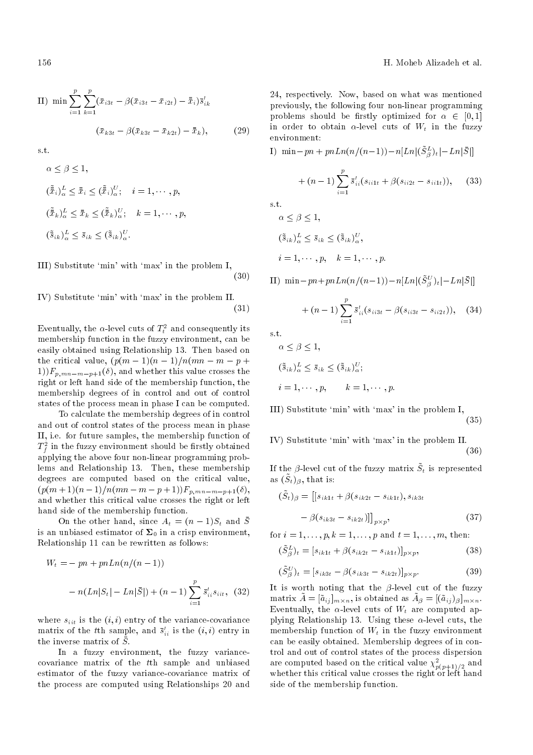II) min 
$$
\sum_{i=1}^{p} \sum_{k=1}^{p} (\bar{x}_{i3t} - \beta(\bar{x}_{i3t} - \bar{x}_{i2t}) - \bar{\bar{x}}_i) \bar{s}'_{ik}
$$

$$
(\bar{x}_{k3t} - \beta(\bar{x}_{k3t} - \bar{x}_{k2t}) - \bar{\bar{x}}_k),
$$
 (29)

s.t.

$$
\alpha \leq \beta \leq 1,
$$
  
\n
$$
(\tilde{\bar{x}}_i)_\alpha^L \leq \bar{x}_i \leq (\tilde{\bar{x}}_i)_\alpha^U; \quad i = 1, \dots, p,
$$
  
\n
$$
(\tilde{\bar{x}}_k)_\alpha^L \leq \bar{x}_k \leq (\tilde{\bar{x}}_k)_\alpha^U; \quad k = 1, \dots, p,
$$
  
\n
$$
(\tilde{\bar{s}}_{ik})_\alpha^L \leq \bar{s}_{ik} \leq (\tilde{\bar{s}}_{ik})_\alpha^U.
$$

III) Substitute `min' with `max' in the problem I; (30)

IV) Substitute 'min' with 'max' in the problem II. 
$$
(31)
$$

Eventually, the  $\alpha$ -level cuts of  $T_t^2$  and consequently its membership function in the fuzzy environment, can be easily obtained using Relationship 13. Then based on the critical value,  $(p(m-1)(n-1)/n(mn-m-p +$  $1)$ F<sub>n,mn</sub>-m-n+1( $\delta$ ), and whether this value crosses the right or left hand side of the membership function, the membership degrees of in control and out of control states of the process mean in phase I can be computed.

To calculate the membership degrees of in control and out of control states of the process mean in phase II, i.e. for future samples, the membership function of  $T^2_f$  in the fuzzy environment should be firstly obtained applying the above four non-linear programming problems and Relationship 13. Then, these membership degrees are computed based on the critical value,  $(p(m + 1)(n - 1)/n(mn - m - p + 1))F_{p,mn - m - p + 1}(\delta),$ and whether this critical value crosses the right or left hand side of the membership function.

On the other hand, since  $A_t = (n-1)S_t$  and  $\overline{S}$ is an unbiased estimator of  $\Sigma_0$  in a crisp environment, Relationship 11 can be rewritten as follows:

$$
W_t = -pn + pnLn(n/(n-1))
$$
  
- n(Ln|S<sub>t</sub>| - Ln| $\bar{S}$ |) + (n - 1)  $\sum_{i=1}^{p} \bar{s}'_{ii} s_{iit}$ , (32)

where  $s_{iit}$  is the  $(i, i)$  entry of the variance-covariance matrix of the t<sup>th</sup> sample, and  $\bar{s}^\prime_{ii}$  is the  $(i,i)$  entry in the inverse matrix of  $\bar{S}$ .

In a fuzzy environment, the fuzzy variancecovariance matrix of the tth sample and unbiased estimator of the fuzzy variance-covariance matrix of the process are computed using Relationships 20 and 24, respectively. Now, based on what was mentioned previously, the following four non-linear programming problems should be firstly optimized for  $\alpha \in [0,1]$ in order to obtain  $\alpha$ -level cuts of  $W_t$  in the fuzzy environment:

I) 
$$
\min - pn + pnLn(n/(n-1)) - n[Ln|(\tilde{S}_{\beta}^{L})_{t}| - Ln|\bar{S}|]
$$
  
  $+ (n-1) \sum_{i=1}^{p} \bar{s}_{ii}'(s_{ii1t} + \beta(s_{ii2t} - s_{ii1t})),$  (33)

 $\alpha \leq \beta \leq 1,$ 

$$
(\tilde{\bar{s}}_{ik})_{\alpha}^{L} \leq \bar{s}_{ik} \leq (\tilde{\bar{s}}_{ik})_{\alpha}^{U},
$$
  

$$
i = 1, \cdots, p, \quad k = 1, \cdots, p.
$$

II)  $\min -pn + pnLn(n/(n-1)) - n[Ln|(\tilde{S}_{\beta}^U)_t| - Ln|\bar{S}|]$ 

+ 
$$
(n-1)\sum_{i=1}^{p} \bar{s}'_{ii}(s_{ii3t} - \beta(s_{ii3t} - s_{ii2t})),
$$
 (34)

s.t.

$$
\alpha \leq \beta \leq 1,
$$
  
\n
$$
(\tilde{\tilde{s}}_{ik})_{\alpha}^{L} \leq \tilde{s}_{ik} \leq (\tilde{\tilde{s}}_{ik})_{\alpha}^{U};
$$
  
\n
$$
i = 1, \cdots, p, \qquad k = 1, \cdots, p.
$$

III) Substitute `min' with `max' in the problem I, (35)

IV) Substitute `min' with `max' in the problem II. (36)

If the  $\beta$ -level cut of the fuzzy matrix  $\tilde{S}_t$  is represented as  $(\tilde{S}_t)_{\beta}$ , that is:

$$
(\tilde{S}_t)_{\beta} = [[s_{ik1t} + \beta(s_{ik2t} - s_{ik1t}), s_{ik3t} - \beta(s_{ik3t} - s_{ik2t})]]_{p \times p},
$$
\n(37)

for  $i = 1, ..., p, k = 1, ..., p$  and  $t = 1, ..., m$ , then:

$$
(\tilde{S}_{\beta}^{L})_{t} = [s_{ik1t} + \beta(s_{ik2t} - s_{ik1t})]_{p \times p},
$$
\n(38)

$$
(\tilde{S}_{\beta}^{U})_t = [s_{ik3t} - \beta(s_{ik3t} - s_{ik2t})]_{p \times p}.
$$
\n(39)

It is worth noting that the  $\beta$ -level cut of the fuzzy matrix  $\tilde{A} = [\tilde{a}_{ij}]_{m \times n}$ , is obtained as  $\tilde{A}_{\beta} = [(\tilde{a}_{ij})_{\beta}]_{m \times n}$ . Eventually, the  $\alpha$ -level cuts of  $W_t$  are computed applying Relationship 13. Using these  $\alpha$ -level cuts, the membership function of  $W_t$  in the fuzzy environment can be easily obtained. Membership degrees of in control and out of control states of the process dispersion are computed based on the critical value  $\chi^2_{p(p+1)/2}$  and whether this critical value crosses the right or left hand side of the membership function.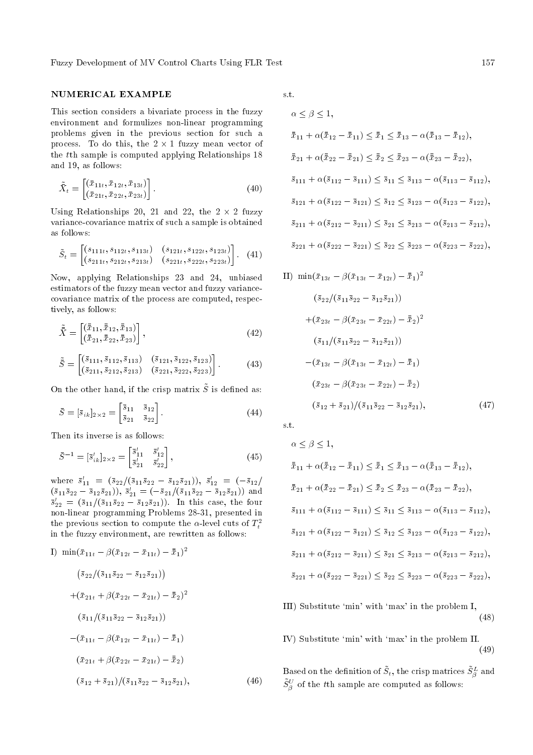Fuzzy Development of MV Control Charts Using FLR Test 157

# NUMERICAL EXAMPLE

This section considers a bivariate process in the fuzzy environment and formulizes non-linear programming problems given in the previous section for such a process. To do this, the  $2 \times 1$  fuzzy mean vector of the tth sample is computed applying Relationships 18 and 19, as follows:

$$
\tilde{\bar{X}}_t = \begin{bmatrix} (\bar{x}_{11t}, \bar{x}_{12t}, \bar{x}_{13t}) \\ (\bar{x}_{21t}, \bar{x}_{22t}, \bar{x}_{23t}) \end{bmatrix} . \tag{40}
$$

Using Relationships 20, 21 and 22, the  $2 \times 2$  fuzzy variance-covariance matrix of such a sample is obtained as follows:

$$
\tilde{S}_t = \begin{bmatrix} (s_{111t}, s_{112t}, s_{113t}) & (s_{121t}, s_{122t}, s_{123t}) \\ (s_{211t}, s_{212t}, s_{213t}) & (s_{221t}, s_{222t}, s_{223t}) \end{bmatrix} .
$$
 (41)

Now, applying Relationships 23 and 24, unbiased estimators of the fuzzy mean vector and fuzzy variancecovariance matrix of the process are computed, respectively, as follows:

$$
\tilde{\bar{X}} = \begin{bmatrix} (\bar{\bar{x}}_{11}, \bar{\bar{x}}_{12}, \bar{\bar{x}}_{13}) \\ (\bar{\bar{x}}_{21}, \bar{\bar{x}}_{22}, \bar{\bar{x}}_{23}) \end{bmatrix},
$$
\n(42)

$$
\tilde{\bar{S}} = \begin{bmatrix} (\bar{s}_{111}, \bar{s}_{112}, \bar{s}_{113}) & (\bar{s}_{121}, \bar{s}_{122}, \bar{s}_{123}) \\ (\bar{s}_{211}, \bar{s}_{212}, \bar{s}_{213}) & (\bar{s}_{221}, \bar{s}_{222}, \bar{s}_{223}) \end{bmatrix}.
$$
 (43)

On the other hand, if the crisp matrix  $\tilde{S}$  is defined as:

$$
\bar{S} = [\bar{s}_{ik}]_{2 \times 2} = \begin{bmatrix} \bar{s}_{11} & \bar{s}_{12} \\ \bar{s}_{21} & \bar{s}_{22} \end{bmatrix} . \tag{44}
$$

Then its inverse is as follows:

$$
\bar{S}^{-1} = [\bar{s}'_{ik}]_{2 \times 2} = \begin{bmatrix} \bar{s}'_{11} & \bar{s}'_{12} \\ \bar{s}'_{21} & \bar{s}'_{22} \end{bmatrix},
$$
\n(45)

where  $\bar{s}'_{11} = (\bar{s}_{22}/(\bar{s}_{11}\bar{s}_{22} - \bar{s}_{12}\bar{s}_{21}))$ ,  $\bar{s}'_{12} = (-\bar{s}_{12}/\bar{s}_{21})$  $(\bar{s}_{11}\bar{s}_{22}-\bar{s}_{12}\bar{s}_{21}), \ \bar{s}'_{21}=(-\bar{s}_{21}/(\bar{s}_{11}\bar{s}_{22}-\bar{s}_{12}\bar{s}_{21}))$  and  $\bar{s}'_{22} = (\bar{s}_{11}/(\bar{s}_{11}\bar{s}_{22} - \bar{s}_{12}\bar{s}_{21}))$ . In this case, the four non-linear programming Problems 28-31, presented in the previous section to compute the  $\alpha$ -level cuts of  $T_t^2$ in the fuzzy environment, are rewritten as follows:

I) 
$$
\min(\bar{x}_{11t} - \beta(\bar{x}_{12t} - \bar{x}_{11t}) - \bar{\bar{x}}_1)^2
$$
  
\n
$$
(\bar{s}_{22}/(\bar{s}_{11}\bar{s}_{22} - \bar{s}_{12}\bar{s}_{21}))
$$
\n
$$
+(\bar{x}_{21t} + \beta(\bar{x}_{22t} - \bar{x}_{21t}) - \bar{\bar{x}}_2)^2
$$
\n
$$
(\bar{s}_{11}/(\bar{s}_{11}\bar{s}_{22} - \bar{s}_{12}\bar{s}_{21}))
$$
\n
$$
-(\bar{x}_{11t} - \beta(\bar{x}_{12t} - \bar{x}_{11t}) - \bar{\bar{x}}_1)
$$
\n
$$
(\bar{x}_{21t} + \beta(\bar{x}_{22t} - \bar{x}_{21t}) - \bar{\bar{x}}_2)
$$
\n
$$
(\bar{s}_{12} + \bar{s}_{21})/(\bar{s}_{11}\bar{s}_{22} - \bar{s}_{12}\bar{s}_{21}),
$$
\n(46)

s.t.

$$
\alpha \leq \beta \leq 1,
$$
  
\n
$$
\bar{x}_{11} + \alpha(\bar{x}_{12} - \bar{x}_{11}) \leq \bar{x}_1 \leq \bar{x}_{13} - \alpha(\bar{x}_{13} - \bar{x}_{12}),
$$
  
\n
$$
\bar{x}_{21} + \alpha(\bar{x}_{22} - \bar{x}_{21}) \leq \bar{x}_2 \leq \bar{x}_{23} - \alpha(\bar{x}_{23} - \bar{x}_{22}),
$$
  
\n
$$
\bar{s}_{111} + \alpha(\bar{s}_{112} - \bar{s}_{111}) \leq \bar{s}_{11} \leq \bar{s}_{113} - \alpha(\bar{s}_{113} - \bar{s}_{112}),
$$
  
\n
$$
\bar{s}_{121} + \alpha(\bar{s}_{122} - \bar{s}_{121}) \leq \bar{s}_{12} \leq \bar{s}_{123} - \alpha(\bar{s}_{123} - \bar{s}_{122}),
$$
  
\n
$$
\bar{s}_{211} + \alpha(\bar{s}_{212} - \bar{s}_{211}) \leq \bar{s}_{21} \leq \bar{s}_{213} - \alpha(\bar{s}_{213} - \bar{s}_{212}),
$$
  
\n
$$
\bar{s}_{221} + \alpha(\bar{s}_{222} - \bar{s}_{221}) \leq \bar{s}_{22} \leq \bar{s}_{223} - \alpha(\bar{s}_{223} - \bar{s}_{222}),
$$

II) 
$$
\min(\bar{x}_{13t} - \beta(\bar{x}_{13t} - \bar{x}_{12t}) - \bar{\bar{x}}_1)^2
$$
  
\n $(\bar{s}_{22}/(\bar{s}_{11}\bar{s}_{22} - \bar{s}_{12}\bar{s}_{21}))$   
\n $+(\bar{x}_{23t} - \beta(\bar{x}_{23t} - \bar{x}_{22t}) - \bar{\bar{x}}_2)^2$   
\n $(\bar{s}_{11}/(\bar{s}_{11}\bar{s}_{22} - \bar{s}_{12}\bar{s}_{21}))$   
\n $-(\bar{x}_{13t} - \beta(\bar{x}_{13t} - \bar{x}_{12t}) - \bar{\bar{x}}_1)$   
\n $(\bar{x}_{23t} - \beta(\bar{x}_{23t} - \bar{x}_{22t}) - \bar{\bar{x}}_2)$   
\n $(\bar{s}_{12} + \bar{s}_{21})/(\bar{s}_{11}\bar{s}_{22} - \bar{s}_{12}\bar{s}_{21}),$  (47)

s.t.

$$
\alpha \leq \beta \leq 1,
$$
  
\n
$$
\bar{x}_{11} + \alpha(\bar{x}_{12} - \bar{x}_{11}) \leq \bar{x}_1 \leq \bar{x}_{13} - \alpha(\bar{x}_{13} - \bar{x}_{12}),
$$
  
\n
$$
\bar{x}_{21} + \alpha(\bar{x}_{22} - \bar{x}_{21}) \leq \bar{x}_2 \leq \bar{x}_{23} - \alpha(\bar{x}_{23} - \bar{x}_{22}),
$$
  
\n
$$
\bar{s}_{111} + \alpha(\bar{s}_{112} - \bar{s}_{111}) \leq \bar{s}_{11} \leq \bar{s}_{113} - \alpha(\bar{s}_{113} - \bar{s}_{112}),
$$
  
\n
$$
\bar{s}_{121} + \alpha(\bar{s}_{122} - \bar{s}_{121}) \leq \bar{s}_{12} \leq \bar{s}_{123} - \alpha(\bar{s}_{123} - \bar{s}_{122}),
$$
  
\n
$$
\bar{s}_{211} + \alpha(\bar{s}_{212} - \bar{s}_{211}) \leq \bar{s}_{21} \leq \bar{s}_{213} - \alpha(\bar{s}_{213} - \bar{s}_{212}),
$$
  
\n
$$
\bar{s}_{221} + \alpha(\bar{s}_{222} - \bar{s}_{221}) \leq \bar{s}_{22} \leq \bar{s}_{223} - \alpha(\bar{s}_{223} - \bar{s}_{222}),
$$

- III) Substitute `min' with `max' in the problem I, (48)
- IV) Substitute `min' with `max' in the problem II. (49)

Based on the definition of  $\tilde{S}_t,$  the crisp matrices  $\tilde{S}_\beta^L$  and  $\tilde{S}_{\beta}^{U}$  of the  $t\text{th}$  sample are computed as follows: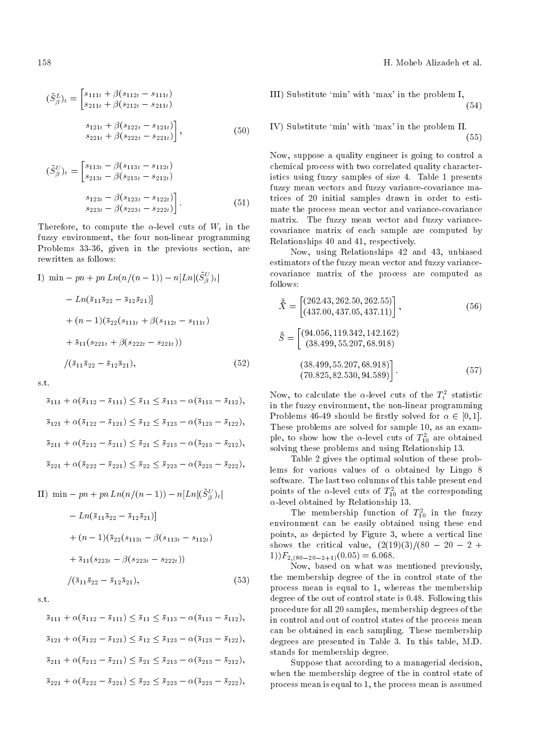158 H. Moheb Alizadeh et al.

$$
(\tilde{S}_{\beta}^{L})_{t} = \begin{bmatrix} s_{111t} + \beta(s_{112t} - s_{111t}) \\ s_{211t} + \beta(s_{212t} - s_{211t}) \end{bmatrix}
$$

$$
s_{121t} + \beta(s_{122t} - s_{121t})
$$

$$
s_{221t} + \beta(s_{222t} - s_{221t}) \end{bmatrix},
$$
(50)

$$
(\tilde{S}_{\beta}^{U})_{t} = \begin{bmatrix} s_{113t} - \beta(s_{113t} - s_{112t}) \\ s_{213t} - \beta(s_{213t} - s_{212t}) \end{bmatrix}
$$

$$
s_{123t} - \beta(s_{123t} - s_{122t}) \begin{bmatrix} s_{123t} - \beta(s_{223t} - s_{222t}) \end{bmatrix}.
$$

$$
(51)
$$

Therefore, to compute the  $\alpha$ -level cuts of  $W_t$  in the fuzzy environment, the four non-linear programming Problems 33-36, given in the previous section, are rewritten as follows:

I) min 
$$
-pn + pn Ln(n/(n - 1)) - n[Ln |(\tilde{S}_{\beta}^{U})_{t}|
$$
  
\t\t\t $- Ln(\bar{s}_{11}\bar{s}_{22} - \bar{s}_{12}\bar{s}_{21})]$   
\t\t\t $+ (n - 1)(\bar{s}_{22}(s_{111t} + \beta(s_{112t} - s_{111t}))$   
\t\t\t $+ \bar{s}_{11}(s_{221t} + \beta(s_{222t} - s_{221t}))$   
\t\t\t $/( \bar{s}_{11}\bar{s}_{22} - \bar{s}_{12}\bar{s}_{21}),$  (52)

s.t.

$$
\overline{s}_{111} + \alpha(\overline{s}_{112} - \overline{s}_{111}) \le \overline{s}_{11} \le \overline{s}_{113} - \alpha(\overline{s}_{113} - \overline{s}_{112}),
$$
  

$$
\overline{s}_{121} + \alpha(\overline{s}_{122} - \overline{s}_{121}) \le \overline{s}_{12} \le \overline{s}_{123} - \alpha(\overline{s}_{123} - \overline{s}_{122}),
$$
  

$$
\overline{s}_{211} + \alpha(\overline{s}_{212} - \overline{s}_{211}) \le \overline{s}_{21} \le \overline{s}_{213} - \alpha(\overline{s}_{213} - \overline{s}_{212}),
$$
  

$$
\overline{s}_{221} + \alpha(\overline{s}_{222} - \overline{s}_{221}) \le \overline{s}_{22} \le \overline{s}_{223} - \alpha(\overline{s}_{223} - \overline{s}_{222}),
$$

II) min - pn + pn Ln(
$$
n/(n - 1)
$$
) - n[Ln|( $\tilde{S}_{\beta}^{U}$ )<sub>t</sub>|  
\n- Ln( $\bar{s}_{11}\bar{s}_{22}$  -  $\bar{s}_{12}\bar{s}_{21}$ )]  
\n+  $(n - 1)(\bar{s}_{22}(s_{113t} - \beta(s_{113t} - s_{112t})$   
\n+  $\bar{s}_{11}(s_{223t} - \beta(s_{223t} - s_{222t}))$   
\n/ $(\bar{s}_{11}\bar{s}_{22} - \bar{s}_{12}\bar{s}_{21}),$  (53)

s.t.

$$
\begin{aligned}\n\bar{s}_{111} + \alpha(\bar{s}_{112} - \bar{s}_{111}) &\leq \bar{s}_{11} \leq \bar{s}_{113} - \alpha(\bar{s}_{113} - \bar{s}_{112}), \\
\bar{s}_{121} + \alpha(\bar{s}_{122} - \bar{s}_{121}) &\leq \bar{s}_{12} \leq \bar{s}_{123} - \alpha(\bar{s}_{123} - \bar{s}_{122}), \\
\bar{s}_{211} + \alpha(\bar{s}_{212} - \bar{s}_{211}) &\leq \bar{s}_{21} \leq \bar{s}_{213} - \alpha(\bar{s}_{213} - \bar{s}_{212}), \\
\bar{s}_{221} + \alpha(\bar{s}_{222} - \bar{s}_{221}) &\leq \bar{s}_{22} \leq \bar{s}_{223} - \alpha(\bar{s}_{223} - \bar{s}_{222}),\n\end{aligned}
$$

III) Substitute `min' with `max' in the problem I, (54)

IV) Substitute `min' with `max' in the problem II. (55)

Now, suppose a quality engineer is going to control a chemical process with two correlated quality characteristics using fuzzy samples of size 4. Table 1 presents fuzzy mean vectors and fuzzy variance-covariance matrices of 20 initial samples drawn in order to estimate the process mean vector and variance-covariance matrix. The fuzzy mean vector and fuzzy variancecovariance matrix of each sample are computed by Relationships 40 and 41, respectively.

Now, using Relationships 42 and 43, unbiased estimators of the fuzzy mean vector and fuzzy variancecovariance matrix of the process are computed as follows:

$$
\tilde{\bar{X}} = \begin{bmatrix} (262.43, 262.50, 262.55) \\ (437.00, 437.05, 437.11) \end{bmatrix},
$$
\n(56)\n
$$
\tilde{\bar{S}} = \begin{bmatrix} (94.056, 119.342, 142.162) \\ (38.499, 55.207, 68.918) \end{bmatrix}
$$
\n(38.499, 55.207, 68.918)\n(70.825, 82.530, 94.589) (57)

Now, to calculate the  $\alpha$ -level cuts of the  $T_t^2$  statistic in the fuzzy environment, the non-linear programming Problems 46-49 should be firstly solved for  $\alpha \in [0,1]$ . These problems are solved for sample 10, as an example, to show how the  $\alpha$ -level cuts of  $T_{10}^2$  are obtained solving these problems and using Relationship 13.

Table 2 gives the optimal solution of these problems for various values of  $\alpha$  obtained by Lingo 8 software. The last two columns of this table present end points of the  $\alpha$ -level cuts of  $T_{10}^2$  at the corresponding  $\alpha$ -level obtained by Relationship 13.

The membership function of  $T_{10}^2$  in the fuzzy environment can be easily obtained using these end points, as depicted by Figure 3, where a vertical line shows the critical value,  $(2(19)(3)/(80 - 20 - 2 +$  $(1))F_{2,(80-20-2+1)}(0.05) = 6.068.$ 

Now, based on what was mentioned previously, the membership degree of the in control state of the process mean is equal to 1, whereas the membership degree of the out of control state is 0.48. Following this procedure for all 20 samples, membership degrees of the in control and out of control states of the process mean can be obtained in each sampling. These membership degrees are presented in Table 3. In this table, M.D. stands for membership degree.

Suppose that according to a managerial decision, when the membership degree of the in control state of process mean is equal to 1, the process mean is assumed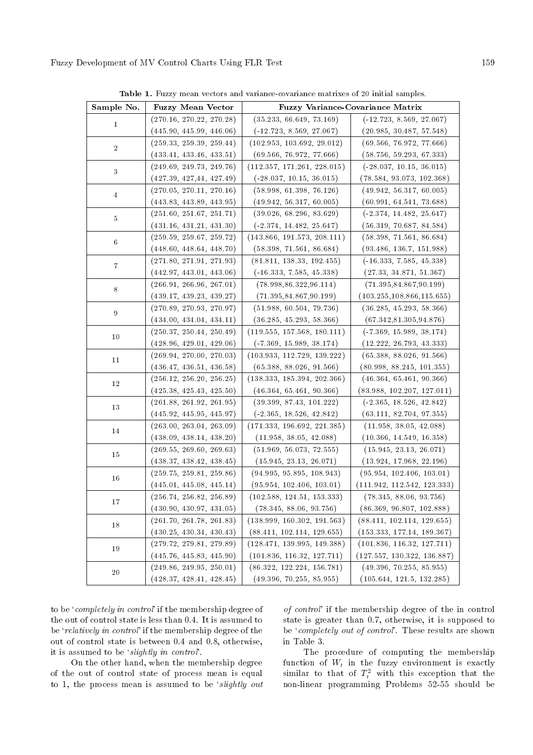(259.59, 259.67, 259.72) (448.60, 448.64, 448.70)

(271.80, 271.91, 271.93) (442.97, 443.01, 443.06)

(266.91, 266.96, 267.01) (439.17, 439.23, 439.27)

(270.89, 270.93, 270.97) (434.00, 434.04, 434.11)

(428.96, 429.01, 429.06)

(436.47, 436.51, 436.58)

(425.38, 425.43, 425.50)

(445.92, 445.95, 445.97)

(438.09, 438.14, 438.20)

(438.37, 438.42, 438.45)

(445.01, 445.08, 445.14)

(430.90, 430.97, 431.05)

(430.25, 430.34, 430.43)

(445.76, 445.83, 445.90)

(428.37, 428.41, 428.45)

 $10 \t\t (250.37, 250.44, 250.49)$ 

 $\begin{array}{|c|c|c|c|c|}\n\hline\n11 & 269.94, 270.00, 270.03\n\end{array}$ 

 $\begin{array}{|l|}\n\hline\n12\n\end{array}$  (256.12, 256.20, 256.25)

 $\begin{array}{|l|} \hline 13 & \multicolumn{1}{|l}{} (261.88,\, 261.92,\, 261.95) \hline \end{array}$ 

 $\begin{array}{|l|l|} \hline 14 & \multicolumn{1}{|l|}{} (263.00, \ 263.04, \ 263.09) \hline \end{array}$ 

 $\begin{array}{|l|l|} \hline 15 & \multicolumn{1}{|l|}{} (269.55, 269.60, 269.63) \hline \end{array}$ 

 $\begin{array}{|l|}\n\hline\n16 \hline\n\end{array}$  (259.75, 259.81, 259.86)

 $\boxed{17}$  (256.74, 256.82, 256.89)

 $\begin{array}{|l|}\n\hline\n18 \hline\n\end{array}$  (261.70, 261.78, 261.83)

 $\begin{array}{|c|c|c|c|c|c|} \hline (279.72, 279.81, 279.89) \hline \end{array}$ 

 $20 \qquad (249.86, 249.95, 250.01)$ 

6

7

8

9

| Sample No.     | <b>Fuzzy Mean Vector</b> | <b>Fuzzy Variance-Covariance Matrix</b> |                            |  |
|----------------|--------------------------|-----------------------------------------|----------------------------|--|
| $\mathbf{1}$   | (270.16, 270.22, 270.28) | (35.233, 66.649, 73.169)                | $(-12.723, 8.569, 27.067)$ |  |
|                | (445.90, 445.99, 446.06) | $(-12.723, 8.569, 27.067)$              | (20.985, 30.487, 57.548)   |  |
| $\overline{2}$ | (259.33, 259.39, 259.44) | (102.953, 103.692, 29.012)              | (69.566, 76.972, 77.666)   |  |
|                | (433.41, 433.46, 433.51) | (69.566, 76.972, 77.666)                | (58.756, 59.293, 67.333)   |  |
| 3              | (249.69, 249.73, 249.76) | (112.357, 171.261, 228.015)             | $(-28.037, 10.15, 36.015)$ |  |
|                | (427.39, 427.44, 427.49) | $(-28.037, 10.15, 36.015)$              | (78.584, 93.073, 102.368)  |  |
| $\overline{4}$ | (270.05, 270.11, 270.16) | (58.998, 61.398, 76.126)                | (49.942, 56.317, 60.005)   |  |
|                | (443.83, 443.89, 443.95) | (49.942, 56.317, 60.005)                | (60.991, 64.541, 73.688)   |  |
| $\overline{5}$ | (251.60, 251.67, 251.71) | (39.026, 68.296, 83.629)                | $(-2.374, 14.482, 25.647)$ |  |
|                | (431.16, 431.21, 431.30) | $(-2.374, 14.482, 25.647)$              | (56.319, 70.687, 84.584)   |  |
| $\epsilon$     | (259.59, 259.67, 259.72) | (143.866, 191.573, 208.111)             | (58.398, 71.561, 86.684)   |  |

(93.486, 136.7, 151.988)

(-16.333, 7.585, 45.338) (27.33, 34.871, 51.367)

(71.395,84.867,90.199) (103.255,108.866,115.655)

(36.285, 45.293, 58.366) (67.342,81.305,94.876)

(-7.369, 15.989, 38.174) (12.222, 26.793, 43.333)

(65.388, 88.026, 91.566) (80.998, 88.245, 101.355)

(46.364, 65.461, 90.366) (83.988, 102.207, 127.011)

(-2.365, 18.526, 42.842) (63.111, 82.704, 97.355)

(11.958, 38.05, 42.088) (10.366, 14.549, 16.358)

(15.945, 23.13, 26.071) (13.924, 17.968, 22.196)

(95.954, 102.406, 103.01) (111.942, 112.542, 123.333)

(78.345, 88.06, 93.756) (86.369, 96.807, 102.888)

(88.411, 102.114, 129.655) (153.333, 177.14, 189.367)

(101.836, 116.32, 127.711) (127.557, 130.322, 136.887)

(49.396, 70.255, 85.955) (105.644, 121.5, 132.285)

Table 1. Fuzzy mean vectors and variance-covariance matrixes of 2

(143.866, 191.573, 208.111) (58.398, 71.561, 86.684)

(81.811, 138.33, 192.455) (-16.333, 7.585, 45.338)

(78.998,86.322,96.114) (71.395,84.867,90.199)

(51.988, 60.504, 79.736) (36.285, 45.293, 58.366)

(119.555, 157.568, 180.111) (-7.369, 15.989, 38.174)

(103.933, 112.729, 139.222) (65.388, 88.026, 91.566)

(138.333, 185.394, 202.366) (46.364, 65.461, 90.366)

(39.399, 87.43, 101.222) (-2.365, 18.526, 42.842)

 $(171.333, 196.692, 221.385)$ (11.958, 38.05, 42.088)

(51.969, 56.073, 72.555) (15.945, 23.13, 26.071)

(94.995, 95.895, 108.943) (95.954, 102.406, 103.01)

(102.588, 124.51, 153.333) (78.345, 88.06, 93.756)

(138.999, 160.302, 191.563) (88.411, 102.114, 129.655)

(128.471, 139.995, 149.388) (101.836, 116.32, 127.711)

(86.322, 122.224, 156.781) (49.396, 70.255, 85.955)

to be `completely in control' if the membership degree of the out of control state is less than 0.4. It is assumed to be 'relatively in control' if the membership degree of the out of control state is between 0.4 and 0.8, otherwise, it is assumed to be `slightly in control'.

On the other hand, when the membership degree of the out of control state of process mean is equal to 1, the process mean is assumed to be *'slightly out*  of control' if the membership degree of the in control state is greater than 0.7, otherwise, it is supposed to be 'completely out of control'. These results are shown in Table 3.

The procedure of computing the membership function of  $W_t$  in the fuzzy environment is exactly similar to that of  $T_t^2$  with this exception that the non-linear programming Problems 52-55 should be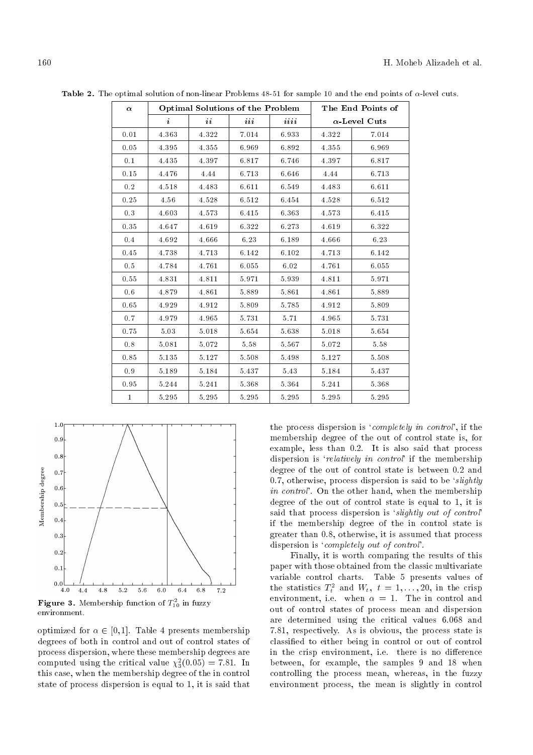| $\alpha$     |           | <b>Optimal Solutions of the Problem</b> |       |       | The End Points of |                      |  |
|--------------|-----------|-----------------------------------------|-------|-------|-------------------|----------------------|--|
|              | $\dot{i}$ | ii                                      | iii   | iii   |                   | $\alpha$ -Level Cuts |  |
| 0.01         | 4.363     | 4.322                                   | 7.014 | 6.933 | 4.322             | 7.014                |  |
| 0.05         | 4.395     | 4.355                                   | 6.969 | 6.892 | 4.355             | 6.969                |  |
| 0.1          | 4.435     | 4.397                                   | 6.817 | 6.746 | 4.397             | 6.817                |  |
| 0.15         | 4.476     | 4.44                                    | 6.713 | 6.646 | 4.44              | 6.713                |  |
| $0.2\,$      | 4.518     | 4.483                                   | 6.611 | 6.549 | 4.483             | 6.611                |  |
| 0.25         | 4.56      | 4.528                                   | 6.512 | 6.454 | 4.528             | 6.512                |  |
| 0.3          | 4.603     | 4.573                                   | 6.415 | 6.363 | 4.573             | 6.415                |  |
| 0.35         | 4.647     | 4.619                                   | 6.322 | 6.273 | 4.619             | 6.322                |  |
| 0.4          | 4.692     | 4.666                                   | 6.23  | 6.189 | 4.666             | 6.23                 |  |
| 0.45         | 4.738     | 4.713                                   | 6.142 | 6.102 | 4.713             | 6.142                |  |
| 0.5          | 4.784     | 4.761                                   | 6.055 | 6.02  | 4.761             | 6.055                |  |
| 0.55         | 4.831     | 4.811                                   | 5.971 | 5.939 | 4.811             | 5.971                |  |
| 0.6          | 4.879     | 4.861                                   | 5.889 | 5.861 | 4.861             | 5.889                |  |
| 0.65         | 4.929     | 4.912                                   | 5.809 | 5.785 | 4.912             | 5.809                |  |
| 0.7          | 4.979     | 4.965                                   | 5.731 | 5.71  | 4.965             | 5.731                |  |
| 0.75         | 5.03      | 5.018                                   | 5.654 | 5.638 | 5.018             | 5.654                |  |
| 0.8          | 5.081     | 5.072                                   | 5.58  | 5.567 | 5.072             | 5.58                 |  |
| 0.85         | 5.135     | 5.127                                   | 5.508 | 5.498 | 5.127             | 5.508                |  |
| 0.9          | 5.189     | 5.184                                   | 5.437 | 5.43  | 5.184             | 5.437                |  |
| 0.95         | 5.244     | 5.241                                   | 5.368 | 5.364 | 5.241             | 5.368                |  |
| $\mathbf{1}$ | 5.295     | 5.295                                   | 5.295 | 5.295 | 5.295             | 5.295                |  |

Table 2. The optimal solution of non-linear Problems  $48-51$  for sample 10 and the end points of  $\alpha$ -level cuts.



**Figure 3.** Membership function of  $T_{10}^2$  in fuzzy environment.

optimized for  $\alpha \in [0, 1]$ . Table 4 presents membership degrees of both in control and out of control states of process dispersion, where these membership degrees are computed using the critical value  $\chi_3^2(0.05) = 7.81$ . In this case, when the membership degree of the in control state of process dispersion is equal to 1, it is said that

the process dispersion is 'completely in control', if the membership degree of the out of control state is, for example, less than 0.2. It is also said that process dispersion is 'relatively in control' if the membership degree of the out of control state is between 0.2 and 0.7, otherwise, process dispersion is said to be 'slightly in control'. On the other hand, when the membership degree of the out of control state is equal to 1, it is said that process dispersion is 'slightly out of control' if the membership degree of the in control state is greater than 0.8, otherwise, it is assumed that process dispersion is 'completely out of control'.

Finally, it is worth comparing the results of this paper with those obtained from the classic multivariate variable control charts. Table 5 presents values of the statistics  $T_t^2$  and  $W_t$ ,  $t = 1, ..., 20$ , in the crisp environment, i.e. when  $\alpha = 1$ . The in control and out of control states of process mean and dispersion are determined using the critical values 6.068 and 7.81, respectively. As is obvious, the process state is classied to either being in control or out of control in the crisp environment, i.e. there is no difference between, for example, the samples 9 and 18 when controlling the process mean, whereas, in the fuzzy environment process, the mean is slightly in control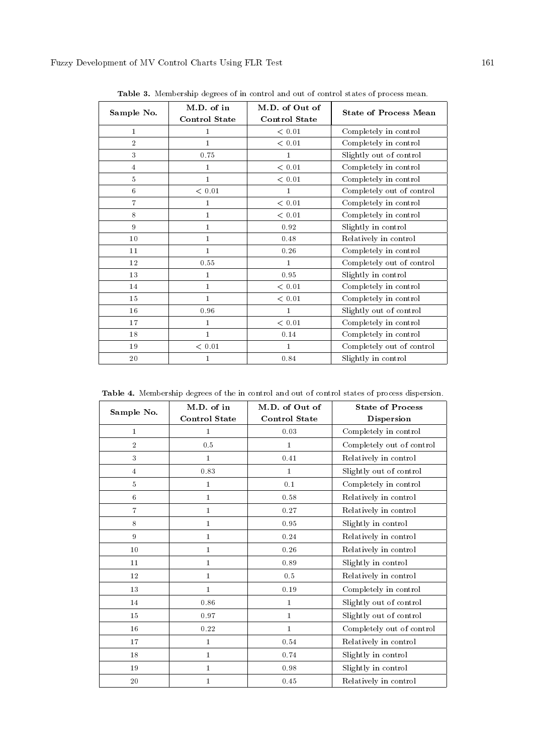| Sample No.     | M.D. of in<br><b>Control State</b> | M.D. of Out of<br><b>Control State</b> | <b>State of Process Mean</b> |
|----------------|------------------------------------|----------------------------------------|------------------------------|
| 1              | 1                                  | < 0.01                                 | Completely in control        |
| $\overline{2}$ | $\mathbf{1}$                       | < 0.01                                 | Completely in control        |
| 3              | 0.75                               | $\mathbf{1}$                           | Slightly out of control      |
| $\overline{4}$ | 1                                  | < 0.01                                 | Completely in control        |
| $\overline{5}$ | $\mathbf{1}$                       | < 0.01                                 | Completely in control        |
| $\,6\,$        | < 0.01                             | $\mathbf{1}$                           | Completely out of control    |
| $\overline{7}$ | 1                                  | < 0.01                                 | Completely in control        |
| 8              | $\mathbf{1}$                       | < 0.01                                 | Completely in control        |
| 9              | $\mathbf{1}$                       | 0.92                                   | Slightly in control          |
| 10             | $\mathbf{1}$                       | 0.48                                   | Relatively in control        |
| 11             | $\mathbf{1}$                       | 0.26                                   | Completely in control        |
| 12             | 0.55                               | $\mathbf{1}$                           | Completely out of control    |
| 13             | $\mathbf{1}$                       | 0.95                                   | Slightly in control          |
| 14             | $\mathbf{1}$                       | < 0.01                                 | Completely in control        |
| 15             | $\mathbf{1}$                       | < 0.01                                 | Completely in control        |
| 16             | 0.96                               | $\mathbf{1}$                           | Slightly out of control      |
| 17             | 1                                  | < 0.01                                 | Completely in control        |
| 18             | $\mathbf{1}$                       | 0.14                                   | Completely in control        |
| 19             | $<\,0.01$                          | $\mathbf{1}$                           | Completely out of control    |
| 20             | 1                                  | 0.84                                   | Slightly in control          |

Table 3. Membership degrees of in control and out of control states of process mean.

Table 4. Membership degrees of the in control and out of control states of process dispersion.

| Sample No.     | M.D. of in           | M.D. of Out of       | <b>State of Process</b>   |  |
|----------------|----------------------|----------------------|---------------------------|--|
|                | <b>Control State</b> | <b>Control State</b> | Dispersion                |  |
| $\bf{1}$       | $\mathbf{1}$         | 0.03                 | Completely in control     |  |
| $\overline{2}$ | 0.5                  | $\mathbf{1}$         | Completely out of control |  |
| 3              | $\mathbf{1}$         | 0.41                 | Relatively in control     |  |
| $\overline{4}$ | 0.83                 | $\mathbf{1}$         | Slightly out of control   |  |
| 5              | $\mathbf{1}$         | 0.1                  | Completely in control     |  |
| 6              | $\mathbf{1}$         | 0.58                 | Relatively in control     |  |
| $\overline{7}$ | $\mathbf{1}$         | 0.27                 | Relatively in control     |  |
| 8              | $\mathbf{1}$         | 0.95                 | Slightly in control       |  |
| 9              | $\mathbf{1}$         | 0.24                 | Relatively in control     |  |
| 10             | $\mathbf{1}$         | 0.26                 | Relatively in control     |  |
| 11             | $\mathbf{1}$         | 0.89                 | Slightly in control       |  |
| 12             | $\mathbf{1}$         | 0.5                  | Relatively in control     |  |
| 13             | $\mathbf{1}$         | $0.19\,$             | Completely in control     |  |
| 14             | 0.86                 | $\mathbf{1}$         | Slightly out of control   |  |
| 15             | 0.97                 | $\mathbf{1}$         | Slightly out of control   |  |
| 16             | 0.22                 | $\bf{1}$             | Completely out of control |  |
| 17             | $\bf{1}$             | 0.54                 | Relatively in control     |  |
| 18             | $\mathbf{1}$         |                      | Slightly in control       |  |
| 19             | $\mathbf{1}$         | 0.98                 | Slightly in control       |  |
| 20             | 1                    | 0.45                 | Relatively in control     |  |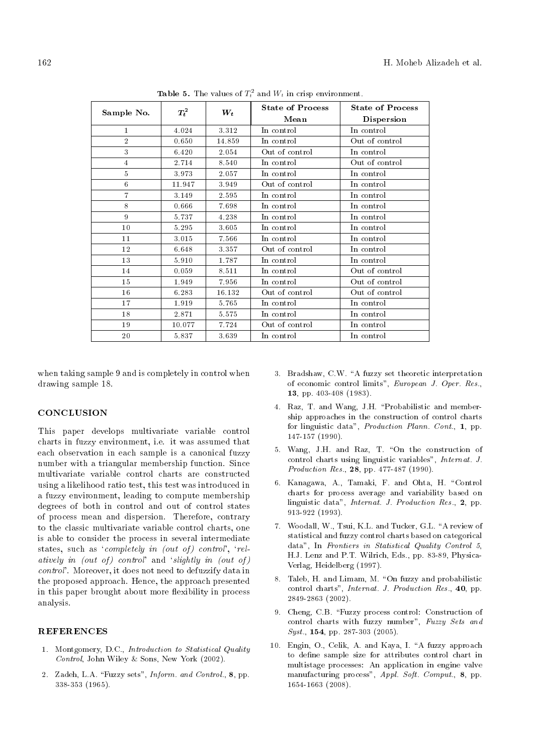| Sample No.     | $\, T^2_t$ | $\boldsymbol{W_t}$ | <b>State of Process</b> | <b>State of Process</b> |  |
|----------------|------------|--------------------|-------------------------|-------------------------|--|
|                |            |                    | Mean                    | <b>Dispersion</b>       |  |
| $\mathbf{1}$   | 4.024      | 3.312              | In control              | In control              |  |
| $\overline{2}$ | 0.650      | 14.859             | In control              | Out of control          |  |
| 3              | 6.420      | 2.054              | Out of control          | In control              |  |
| $\overline{4}$ | 2.714      | 8.540              | In control              | Out of control          |  |
| 5              | 3.973      | 2.057              | In control              | In control              |  |
| 6              | 11.947     | 3.949              | Out of control          | In control              |  |
| $\overline{7}$ | 3.149      | 2.595              | In control              | In control              |  |
| 8              | 0.666      | 7.698              | In control              | In control              |  |
| 9              | 5.737      | 4.238              | In control              | In control              |  |
| 10             | 5.295      | 3.605              | In control              | In control              |  |
| 11             | 3.015      | 7.566              | In control              | In control              |  |
| 12             | 6.648      | 3.357              | Out of control          | In control              |  |
| 13             | 5.910      | 1.787              | In control              | In control              |  |
| 14             | 0.059      | 8.511              | In control              | Out of control          |  |
| 15             | 1.949      | 7.956              | In control              | Out of control          |  |
| 16             | 6.283      | 16.132             | Out of control          | Out of control          |  |
| 17             | 1.919      | 5.765              | In control              | In control              |  |
| 18             | 2.871      | 5.575              | In control              | In control              |  |
| 19             | 10.077     | 7.724              | Out of control          | In control              |  |
| 20             | 5.837      | 3.639              | In control              | In control              |  |

**Table 5.** The values of  $T_t^2$  and  $W_t$  in crisp environment.

when taking sample 9 and is completely in control when drawing sample 18.

#### **CONCLUSION**

This paper develops multivariate variable control charts in fuzzy environment, i.e. it was assumed that each observation in each sample is a canonical fuzzy number with a triangular membership function. Since multivariate variable control charts are constructed using a likelihood ratio test, this test was introduced in a fuzzy environment, leading to compute membership degrees of both in control and out of control states of process mean and dispersion. Therefore, contrary to the classic multivariate variable control charts, one is able to consider the process in several intermediate states, such as 'completely in (out of) control', 'relatively in (out of) control' and 'slightly in (out of) control'. Moreover, it does not need to defuzzify data in the proposed approach. Hence, the approach presented in this paper brought about more flexibility in process analysis.

#### **REFERENCES**

- 1. Montgomery, D.C., Introduction to Statistical Quality Control, John Wiley & Sons, New York (2002).
- 2. Zadeh, L.A. "Fuzzy sets", *Inform. and Control.*, 8, pp. 338-353 (1965).
- 3. Bradshaw, C.W. "A fuzzy set theoretic interpretation of economic control limits", European J. Oper. Res., 13, pp. 403-408 (1983).
- 4. Raz, T. and Wang, J.H. \Probabilistic and membership approaches in the construction of control charts for linguistic data", Production Plann. Cont., 1, pp. 147-157 (1990).
- 5. Wang, J.H. and Raz, T. "On the construction of control charts using linguistic variables", Internat. J. Production Res., 28, pp. 477-487 (1990).
- 6. Kanagawa, A., Tamaki, F. and Ohta, H. "Control charts for process average and variability based on linguistic data", Internat. J. Production Res., 2, pp. 913-922 (1993).
- 7. Woodall, W., Tsui, K.L. and Tucker, G.L. \A review of statistical and fuzzy control charts based on categorical data", In Frontiers in Statistical Quality Control 5, H.J. Lenz and P.T. Wilrich, Eds., pp. 83-89, Physica-Verlag, Heidelberg (1997).
- 8. Taleb, H. and Limam, M. "On fuzzy and probabilistic control charts", Internat. J. Production Res., 40, pp. 2849-2863 (2002).
- 9. Cheng, C.B. "Fuzzy process control: Construction of control charts with fuzzy number", Fuzzy Sets and Syst., **154**, pp. 287-303 (2005).
- 10. Engin, O., Celik, A. and Kaya, I. \A fuzzy approach to define sample size for attributes control chart in multistage processes: An application in engine valve manufacturing process", Appl. Soft. Comput., 8, pp. 1654-1663 (2008).